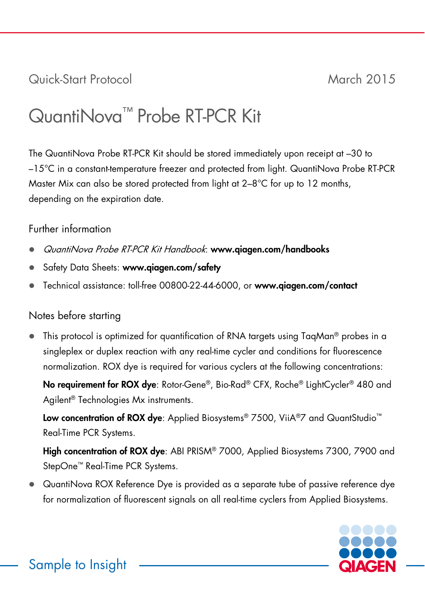Quick-Start Protocol March 2015

## QuantiNova™ Probe RT-PCR Kit

The QuantiNova Probe RT-PCR Kit should be stored immediately upon receipt at –30 to –15°C in a constant-temperature freezer and protected from light. QuantiNova Probe RT-PCR Master Mix can also be stored protected from light at 2–8°C for up to 12 months, depending on the expiration date.

## Further information

- QuantiNova Probe RT-PCR Kit Handbook: www.qiagen.com/handbooks
- Safety Data Sheets: www.qiagen.com/safety
- Technical assistance: toll-free 00800-22-44-6000, or www.qiagen.com/contact

## Notes before starting

 This protocol is optimized for quantification of RNA targets using TaqMan® probes in a singleplex or duplex reaction with any real-time cycler and conditions for fluorescence normalization. ROX dye is required for various cyclers at the following concentrations:

No requirement for ROX dye: Rotor-Gene®, Bio-Rad® CFX, Roche® LightCycler® 480 and Agilent® Technologies Mx instruments.

Low concentration of ROX dye: Applied Biosystems® 7500, ViiA®7 and QuantStudio™ Real-Time PCR Systems.

High concentration of ROX dye: ABI PRISM® 7000, Applied Biosystems 7300, 7900 and StepOne™ Real-Time PCR Systems.

 QuantiNova ROX Reference Dye is provided as a separate tube of passive reference dye for normalization of fluorescent signals on all real-time cyclers from Applied Biosystems.

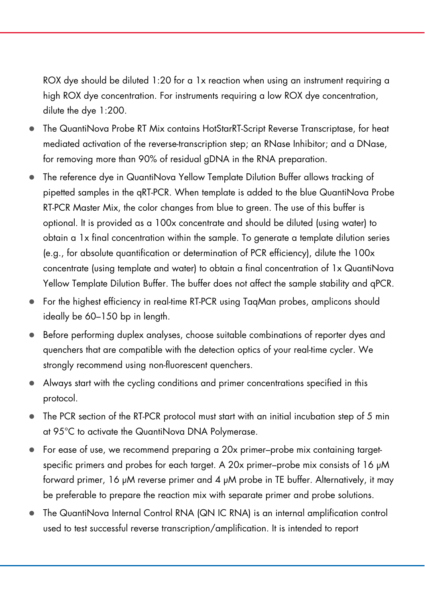ROX dye should be diluted 1:20 for a 1x reaction when using an instrument requiring a high ROX dye concentration. For instruments requiring a low ROX dye concentration, dilute the dye 1:200.

- The QuantiNova Probe RT Mix contains HotStarRT-Script Reverse Transcriptase, for heat mediated activation of the reverse-transcription step; an RNase Inhibitor; and a DNase, for removing more than 90% of residual gDNA in the RNA preparation.
- The reference dye in QuantiNova Yellow Template Dilution Buffer allows tracking of pipetted samples in the qRT-PCR. When template is added to the blue QuantiNova Probe RT-PCR Master Mix, the color changes from blue to green. The use of this buffer is optional. It is provided as a 100x concentrate and should be diluted (using water) to obtain a 1x final concentration within the sample. To generate a template dilution series (e.g., for absolute quantification or determination of PCR efficiency), dilute the 100x concentrate (using template and water) to obtain a final concentration of 1x QuantiNova Yellow Template Dilution Buffer. The buffer does not affect the sample stability and qPCR.
- For the highest efficiency in real-time RT-PCR using TaqMan probes, amplicons should ideally be 60–150 bp in length.
- Before performing duplex analyses, choose suitable combinations of reporter dyes and quenchers that are compatible with the detection optics of your real-time cycler. We strongly recommend using non-fluorescent quenchers.
- Always start with the cycling conditions and primer concentrations specified in this protocol.
- $\bullet$  The PCR section of the RT-PCR protocol must start with an initial incubation step of 5 min at 95°C to activate the QuantiNova DNA Polymerase.
- For ease of use, we recommend preparing a 20x primer–probe mix containing targetspecific primers and probes for each target. A 20x primer–probe mix consists of 16 μM forward primer, 16 μM reverse primer and 4 μM probe in TE buffer. Alternatively, it may be preferable to prepare the reaction mix with separate primer and probe solutions.
- The QuantiNova Internal Control RNA (QN IC RNA) is an internal amplification control used to test successful reverse transcription/amplification. It is intended to report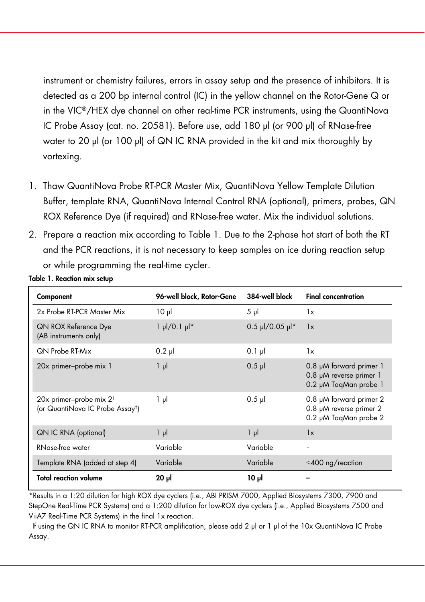instrument or chemistry failures, errors in assay setup and the presence of inhibitors. It is detected as a 200 bp internal control (IC) in the yellow channel on the Rotor-Gene Q or in the VIC®/HEX dye channel on other real-time PCR instruments, using the QuantiNova IC Probe Assay (cat. no. 20581). Before use, add 180 μl (or 900 μl) of RNase-free water to 20 μl (or 100 μl) of QN IC RNA provided in the kit and mix thoroughly by vortexing.

- 1. Thaw QuantiNova Probe RT-PCR Master Mix, QuantiNova Yellow Template Dilution Buffer, template RNA, QuantiNova Internal Control RNA (optional), primers, probes, QN ROX Reference Dye (if required) and RNase-free water. Mix the individual solutions.
- 2. Prepare a reaction mix according to Table 1. Due to the 2-phase hot start of both the RT and the PCR reactions, it is not necessary to keep samples on ice during reaction setup or while programming the real-time cycler.

| Component                                                                          | 96-well block, Rotor-Gene       | 384-well block    | <b>Final concentration</b>                                                         |
|------------------------------------------------------------------------------------|---------------------------------|-------------------|------------------------------------------------------------------------------------|
| 2x Probe RT-PCR Master Mix                                                         | $10 \mu$                        | $5 \mu$           | 1x                                                                                 |
| <b>QN ROX Reference Dye</b><br>(AB instruments only)                               | $1 \mu$ /0.1 $\mu$ <sup>*</sup> | $0.5$ µl/0.05 µl* | 1x                                                                                 |
| <b>QN Probe RT-Mix</b>                                                             | $0.2$ pl                        | $0.1$ pl          | 1x                                                                                 |
| 20x primer-probe mix 1                                                             | $1 \mu$                         | $0.5$ pl          | 0.8 µM forward primer 1<br>0.8 µM reverse primer 1<br>0.2 µM TaqMan probe 1        |
| 20x primer-probe mix $2^{\dagger}$<br>(or QuantiNova IC Probe Assay <sup>t</sup> ) | 1 µl                            | $0.5$ $\mu$       | $0.8$ $\mu$ M forward primer 2<br>0.8 µM reverse primer 2<br>0.2 µM TaqMan probe 2 |
| <b>QN IC RNA (optional)</b>                                                        | $1 \mu$                         | $1 \mu$           | 1x                                                                                 |
| RNase-free water                                                                   | Variable                        | Variable          |                                                                                    |
| Template RNA (added at step 4)                                                     | Variable                        | Variable          | $\leq$ 400 ng/reaction                                                             |
| <b>Total reaction volume</b>                                                       | $20$ $\mu$                      | ار 10             |                                                                                    |

Table 1. Reaction mix setup

\*Results in a 1:20 dilution for high ROX dye cyclers (i.e., ABI PRISM 7000, Applied Biosystems 7300, 7900 and StepOne Real-Time PCR Systems) and a 1:200 dilution for low-ROX dye cyclers (i.e., Applied Biosystems 7500 and ViiA7 Real-Time PCR Systems) in the final 1x reaction.

† If using the QN IC RNA to monitor RT-PCR amplification, please add 2 μl or 1 μl of the 10x QuantiNova IC Probe Assay.